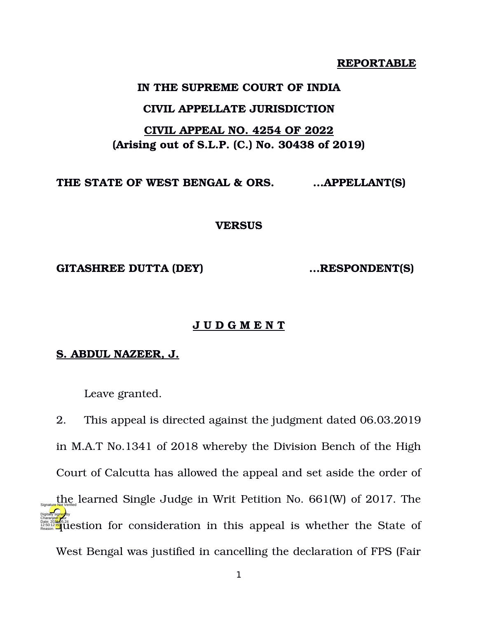#### **REPORTABLE**

#### **IN THE SUPREME COURT OF INDIA**

#### **CIVIL APPELLATE JURISDICTION**

### **CIVIL APPEAL NO. 4254 OF 2022 (Arising out of S.L.P. (C.) No. 30438 of 2019)**

**THE STATE OF WEST BENGAL & ORS. …APPELLANT(S)** 

**VERSUS**

**GITASHREE DUTTA (DEY) …RESPONDENT(S)**

#### **J U D G M E N T**

#### **S. ABDUL NAZEER, J.**

Leave granted.

2. This appeal is directed against the judgment dated 06.03.2019 in M.A.T No.1341 of 2018 whereby the Division Bench of the High Court of Calcutta has allowed the appeal and set aside the order of the learned Single Judge in Writ Petition No. 661(W) of 2017. The Charanges and the State of the State of Reasonships appeal is whether the State of West Bengal was justified in cancelling the declaration of FPS (Fair Digitally signed by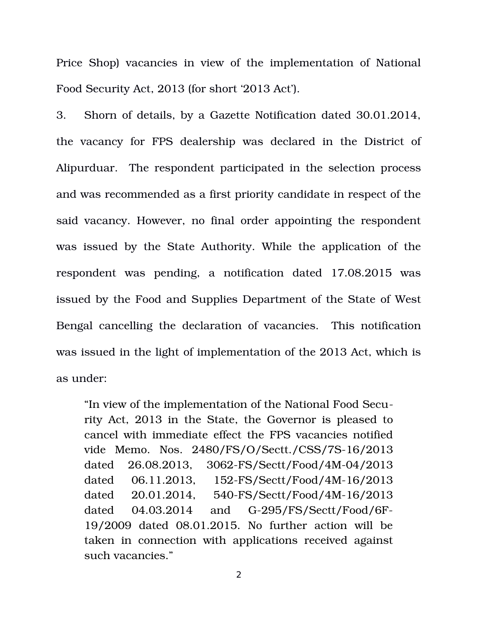Price Shop) vacancies in view of the implementation of National Food Security Act, 2013 (for short '2013 Act').

3. Shorn of details, by a Gazette Notification dated 30.01.2014, the vacancy for FPS dealership was declared in the District of Alipurduar. The respondent participated in the selection process and was recommended as a first priority candidate in respect of the said vacancy. However, no final order appointing the respondent was issued by the State Authority. While the application of the respondent was pending, a notification dated 17.08.2015 was issued by the Food and Supplies Department of the State of West Bengal cancelling the declaration of vacancies. This notification was issued in the light of implementation of the 2013 Act, which is as under:

"In view of the implementation of the National Food Security Act, 2013 in the State, the Governor is pleased to cancel with immediate effect the FPS vacancies notified vide Memo. Nos. 2480/FS/O/Sectt./CSS/7S-16/2013 dated 26.08.2013, 3062-FS/Sectt/Food/4M-04/2013 dated 06.11.2013, 152-FS/Sectt/Food/4M-16/2013 dated 20.01.2014, 540-FS/Sectt/Food/4M-16/2013 dated  $04.03.2014$  and  $G-295/FS/Sectt/Food/6F-$ 19/2009 dated 08.01.2015. No further action will be taken in connection with applications received against such vacancies."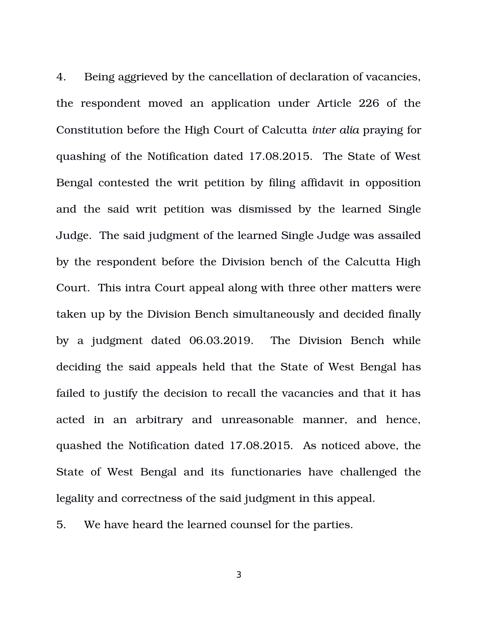4. Being aggrieved by the cancellation of declaration of vacancies, the respondent moved an application under Article 226 of the Constitution before the High Court of Calcutta *inter alia* praying for quashing of the Notification dated 17.08.2015. The State of West Bengal contested the writ petition by filing affidavit in opposition and the said writ petition was dismissed by the learned Single Judge. The said judgment of the learned Single Judge was assailed by the respondent before the Division bench of the Calcutta High Court. This intra Court appeal along with three other matters were taken up by the Division Bench simultaneously and decided finally by a judgment dated 06.03.2019. The Division Bench while deciding the said appeals held that the State of West Bengal has failed to justify the decision to recall the vacancies and that it has acted in an arbitrary and unreasonable manner, and hence, quashed the Notification dated 17.08.2015. As noticed above, the State of West Bengal and its functionaries have challenged the legality and correctness of the said judgment in this appeal.

5. We have heard the learned counsel for the parties.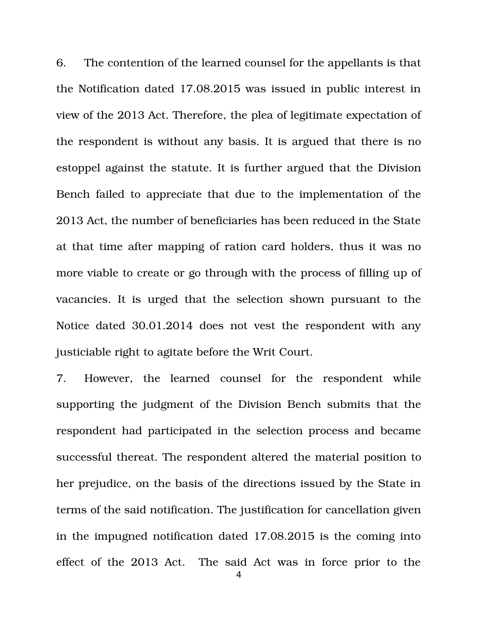6. The contention of the learned counsel for the appellants is that the Notification dated 17.08.2015 was issued in public interest in view of the 2013 Act. Therefore, the plea of legitimate expectation of the respondent is without any basis. It is argued that there is no estoppel against the statute. It is further argued that the Division Bench failed to appreciate that due to the implementation of the 2013 Act, the number of beneficiaries has been reduced in the State at that time after mapping of ration card holders, thus it was no more viable to create or go through with the process of filling up of vacancies. It is urged that the selection shown pursuant to the Notice dated 30.01.2014 does not vest the respondent with any justiciable right to agitate before the Writ Court.

7. However, the learned counsel for the respondent while supporting the judgment of the Division Bench submits that the respondent had participated in the selection process and became successful thereat. The respondent altered the material position to her prejudice, on the basis of the directions issued by the State in terms of the said notification. The justification for cancellation given in the impugned notification dated 17.08.2015 is the coming into effect of the 2013 Act. The said Act was in force prior to the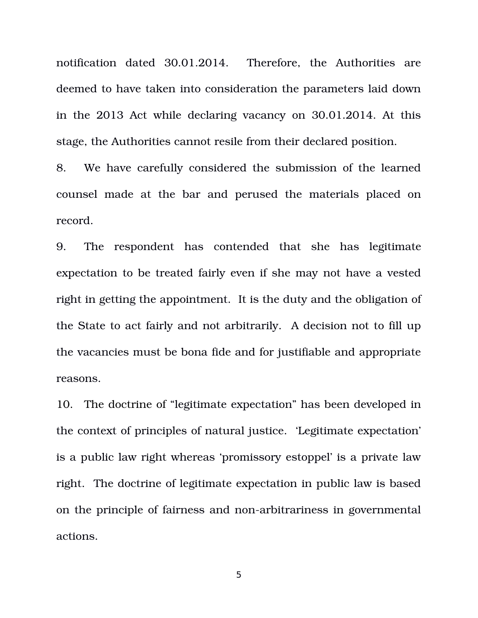notification dated 30.01.2014. Therefore, the Authorities are deemed to have taken into consideration the parameters laid down in the 2013 Act while declaring vacancy on 30.01.2014. At this stage, the Authorities cannot resile from their declared position.

8. We have carefully considered the submission of the learned counsel made at the bar and perused the materials placed on record.

9. The respondent has contended that she has legitimate expectation to be treated fairly even if she may not have a vested right in getting the appointment. It is the duty and the obligation of the State to act fairly and not arbitrarily. A decision not to fill up the vacancies must be bona fide and for justifiable and appropriate reasons.

10. The doctrine of "legitimate expectation" has been developed in the context of principles of natural justice. 'Legitimate expectation' is a public law right whereas 'promissory estoppel' is a private law right. The doctrine of legitimate expectation in public law is based on the principle of fairness and non-arbitrariness in governmental actions.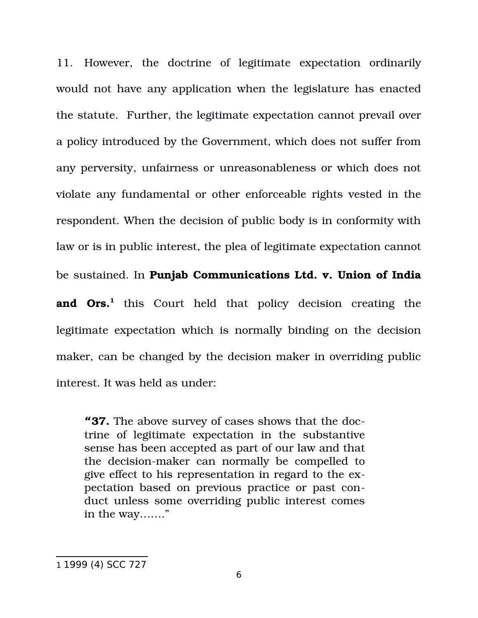11. However, the doctrine of legitimate expectation ordinarily would not have any application when the legislature has enacted the statute. Further, the legitimate expectation cannot prevail over a policy introduced by the Government, which does not suffer from any perversity, unfairness or unreasonableness or which does not violate any fundamental or other enforceable rights vested in the respondent. When the decision of public body is in conformity with law or is in public interest, the plea of legitimate expectation cannot be sustained. In **Punjab Communications Ltd. v. Union of India and Ors.**<sup>1</sup> this Court held that policy decision creating the legitimate expectation which is normally binding on the decision maker, can be changed by the decision maker in overriding public interest. It was held as under:

**"37.** The above survey of cases shows that the doctrine of legitimate expectation in the substantive sense has been accepted as part of our law and that the decision-maker can normally be compelled to give effect to his representation in regard to the expectation based on previous practice or past conduct unless some overriding public interest comes in the way……."

<sup>1</sup> 1999 (4) SCC 727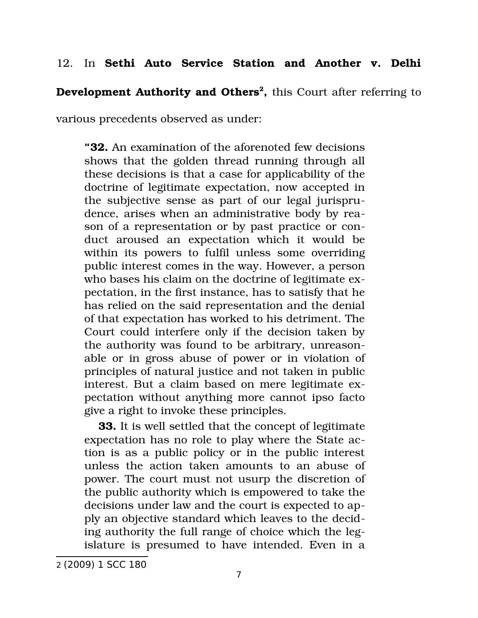# 12. In **Sethi Auto Service Station and Another v. Delhi**

**Development Authority and Others<sup>2</sup> ,** this Court after referring to

various precedents observed as under:

**"32.** An examination of the aforenoted few decisions shows that the golden thread running through all these decisions is that a case for applicability of the doctrine of legitimate expectation, now accepted in the subjective sense as part of our legal jurisprudence, arises when an administrative body by reason of a representation or by past practice or conduct aroused an expectation which it would be within its powers to fulfil unless some overriding public interest comes in the way. However, a person who bases his claim on the doctrine of legitimate expectation, in the first instance, has to satisfy that he has relied on the said representation and the denial of that expectation has worked to his detriment. The Court could interfere only if the decision taken by the authority was found to be arbitrary, unreasonable or in gross abuse of power or in violation of principles of natural justice and not taken in public interest. But a claim based on mere legitimate expectation without anything more cannot ipso facto give a right to invoke these principles.

**33.** It is well settled that the concept of legitimate expectation has no role to play where the State action is as a public policy or in the public interest unless the action taken amounts to an abuse of power. The court must not usurp the discretion of the public authority which is empowered to take the decisions under law and the court is expected to apply an objective standard which leaves to the deciding authority the full range of choice which the legislature is presumed to have intended. Even in a

<sup>2</sup> (2009) 1 SCC 180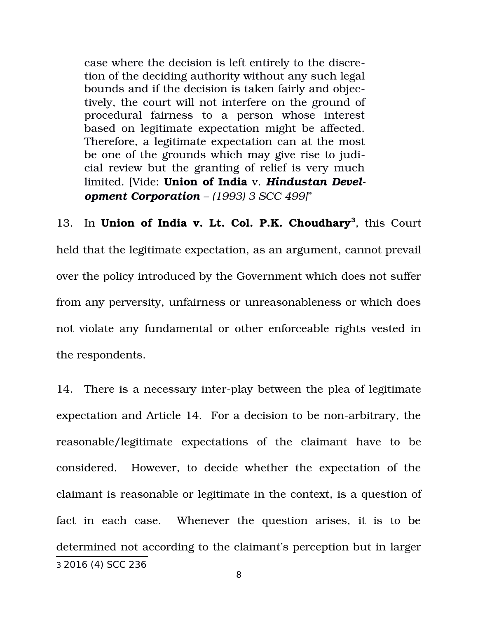case where the decision is left entirely to the discretion of the deciding authority without any such legal bounds and if the decision is taken fairly and objectively, the court will not interfere on the ground of procedural fairness to a person whose interest based on legitimate expectation might be affected. Therefore, a legitimate expectation can at the most be one of the grounds which may give rise to judicial review but the granting of relief is very much limited. [Vide: **Union of India** v. *Hindustan Development Corporation – (1993) 3 SCC 499]*"

13. In **Union of India v. Lt. Col. P.K. Choudhary<sup>3</sup>**, this Court held that the legitimate expectation, as an argument, cannot prevail over the policy introduced by the Government which does not suffer from any perversity, unfairness or unreasonableness or which does not violate any fundamental or other enforceable rights vested in the respondents.

14. There is a necessary inter-play between the plea of legitimate expectation and Article 14. For a decision to be non-arbitrary, the reasonable/legitimate expectations of the claimant have to be considered. However, to decide whether the expectation of the claimant is reasonable or legitimate in the context, is a question of fact in each case. Whenever the question arises, it is to be determined not according to the claimant's perception but in larger 3 2016 (4) SCC 236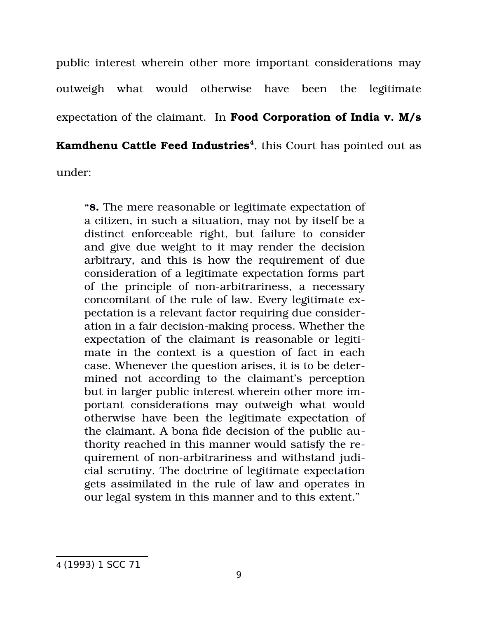public interest wherein other more important considerations may outweigh what would otherwise have been the legitimate expectation of the claimant. In **Food Corporation of India v. M/s**

**Kamdhenu Cattle Feed Industries<sup>4</sup>** , this Court has pointed out as

under:

**"8.** The mere reasonable or legitimate expectation of a citizen, in such a situation, may not by itself be a distinct enforceable right, but failure to consider and give due weight to it may render the decision arbitrary, and this is how the requirement of due consideration of a legitimate expectation forms part of the principle of non-arbitrariness, a necessary concomitant of the rule of law. Every legitimate expectation is a relevant factor requiring due consideration in a fair decision-making process. Whether the expectation of the claimant is reasonable or legitimate in the context is a question of fact in each case. Whenever the question arises, it is to be determined not according to the claimant's perception but in larger public interest wherein other more important considerations may outweigh what would otherwise have been the legitimate expectation of the claimant. A bona fide decision of the public authority reached in this manner would satisfy the requirement of non-arbitrariness and withstand judicial scrutiny. The doctrine of legitimate expectation gets assimilated in the rule of law and operates in our legal system in this manner and to this extent."

4 (1993) 1 SCC 71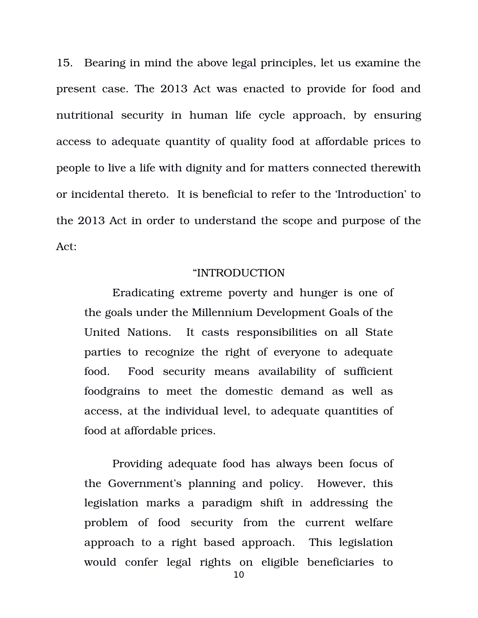15. Bearing in mind the above legal principles, let us examine the present case. The 2013 Act was enacted to provide for food and nutritional security in human life cycle approach, by ensuring access to adequate quantity of quality food at affordable prices to people to live a life with dignity and for matters connected therewith or incidental thereto. It is beneficial to refer to the 'Introduction' to the 2013 Act in order to understand the scope and purpose of the Act:

#### "INTRODUCTION

Eradicating extreme poverty and hunger is one of the goals under the Millennium Development Goals of the United Nations. It casts responsibilities on all State parties to recognize the right of everyone to adequate food. Food security means availability of sufficient foodgrains to meet the domestic demand as well as access, at the individual level, to adequate quantities of food at affordable prices.

Providing adequate food has always been focus of the Government's planning and policy. However, this legislation marks a paradigm shift in addressing the problem of food security from the current welfare approach to a right based approach. This legislation would confer legal rights on eligible beneficiaries to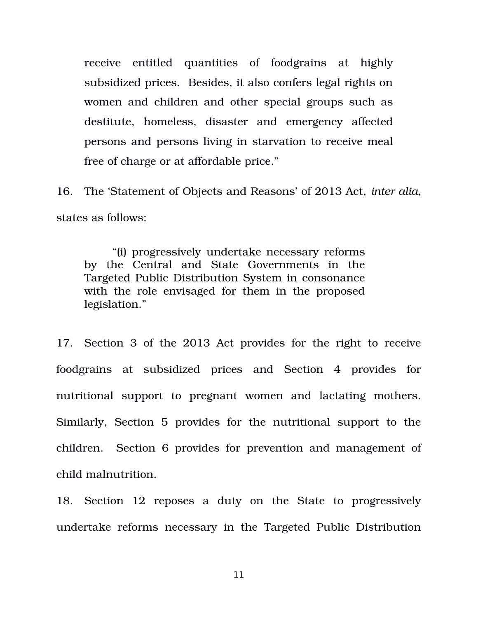receive entitled quantities of foodgrains at highly subsidized prices. Besides, it also confers legal rights on women and children and other special groups such as destitute, homeless, disaster and emergency affected persons and persons living in starvation to receive meal free of charge or at affordable price."

16. The 'Statement of Objects and Reasons' of 2013 Act, *inter alia*, states as follows:

"(i) progressively undertake necessary reforms by the Central and State Governments in the Targeted Public Distribution System in consonance with the role envisaged for them in the proposed legislation."

17. Section 3 of the 2013 Act provides for the right to receive foodgrains at subsidized prices and Section 4 provides for nutritional support to pregnant women and lactating mothers. Similarly, Section 5 provides for the nutritional support to the children. Section 6 provides for prevention and management of child malnutrition.

18. Section 12 reposes a duty on the State to progressively undertake reforms necessary in the Targeted Public Distribution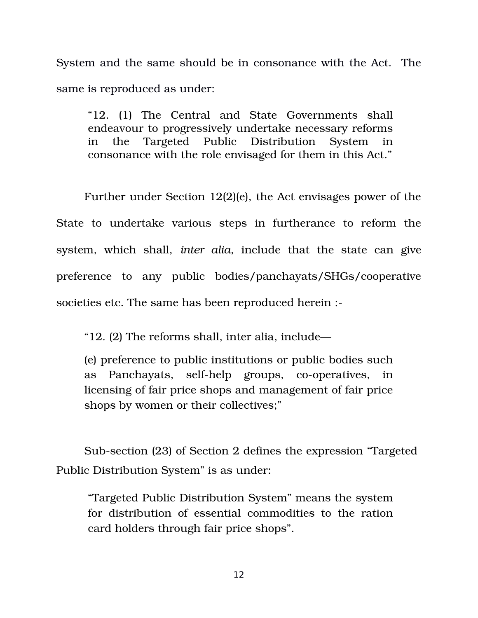System and the same should be in consonance with the Act. The same is reproduced as under:

"12. (1) The Central and State Governments shall endeavour to progressively undertake necessary reforms in the Targeted Public Distribution System consonance with the role envisaged for them in this Act."

Further under Section 12(2)(e), the Act envisages power of the State to undertake various steps in furtherance to reform the system, which shall, *inter alia*, include that the state can give preference to any public bodies/panchayats/SHGs/cooperative societies etc. The same has been reproduced herein :

"12. (2) The reforms shall, inter alia, include—

(e) preference to public institutions or public bodies such as Panchayats, self-help groups, co-operatives, in licensing of fair price shops and management of fair price shops by women or their collectives;"

Sub-section (23) of Section 2 defines the expression "Targeted Public Distribution System" is as under:

"Targeted Public Distribution System" means the system for distribution of essential commodities to the ration card holders through fair price shops".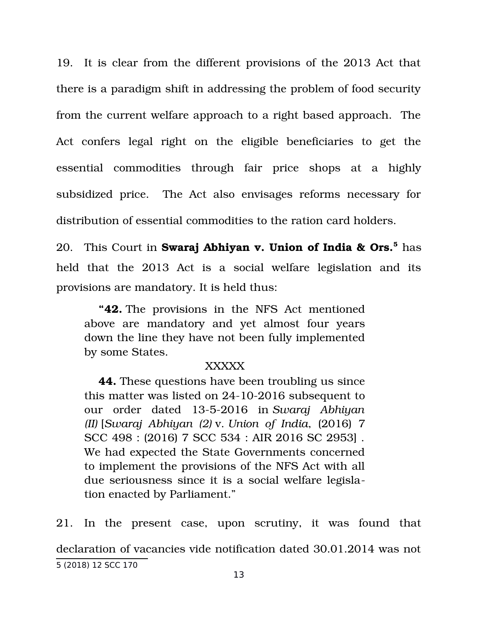19. It is clear from the different provisions of the 2013 Act that there is a paradigm shift in addressing the problem of food security from the current welfare approach to a right based approach. The Act confers legal right on the eligible beneficiaries to get the essential commodities through fair price shops at a highly subsidized price. The Act also envisages reforms necessary for distribution of essential commodities to the ration card holders.

20. This Court in **Swaraj Abhiyan v. Union of India & Ors.<sup>5</sup>** has held that the 2013 Act is a social welfare legislation and its provisions are mandatory. It is held thus:

**"42.** The provisions in the NFS Act mentioned above are mandatory and yet almost four years down the line they have not been fully implemented by some States.

### XXXXX

**44.** These questions have been troubling us since this matter was listed on  $24-10-2016$  subsequent to our order dated 1352016 in *Swaraj Abhiyan (II)* [*Swaraj Abhiyan (2)* v. *Union of India*, (2016) 7 SCC 498 : (2016) 7 SCC 534 : AIR 2016 SC 2953] . We had expected the State Governments concerned to implement the provisions of the NFS Act with all due seriousness since it is a social welfare legislation enacted by Parliament."

21. In the present case, upon scrutiny, it was found that declaration of vacancies vide notification dated 30.01.2014 was not 5 (2018) 12 SCC 170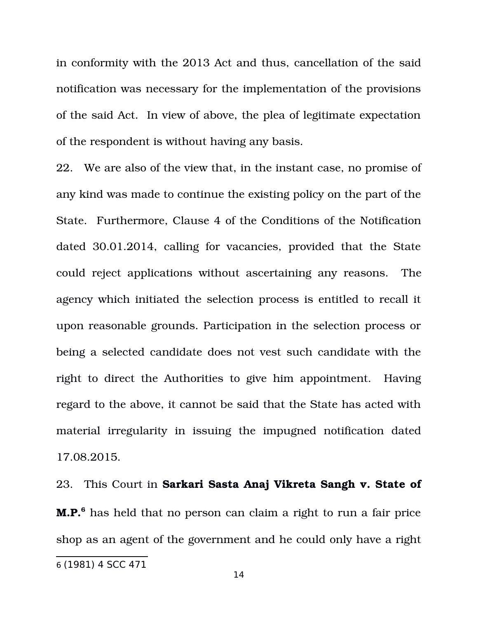in conformity with the 2013 Act and thus, cancellation of the said notification was necessary for the implementation of the provisions of the said Act. In view of above, the plea of legitimate expectation of the respondent is without having any basis.

22. We are also of the view that, in the instant case, no promise of any kind was made to continue the existing policy on the part of the State. Furthermore, Clause 4 of the Conditions of the Notification dated 30.01.2014, calling for vacancies, provided that the State could reject applications without ascertaining any reasons. The agency which initiated the selection process is entitled to recall it upon reasonable grounds. Participation in the selection process or being a selected candidate does not vest such candidate with the right to direct the Authorities to give him appointment. Having regard to the above, it cannot be said that the State has acted with material irregularity in issuing the impugned notification dated 17.08.2015.

23. This Court in **Sarkari Sasta Anaj Vikreta Sangh v. State of M.P.<sup>6</sup>** has held that no person can claim a right to run a fair price shop as an agent of the government and he could only have a right

<sup>6</sup> (1981) 4 SCC 471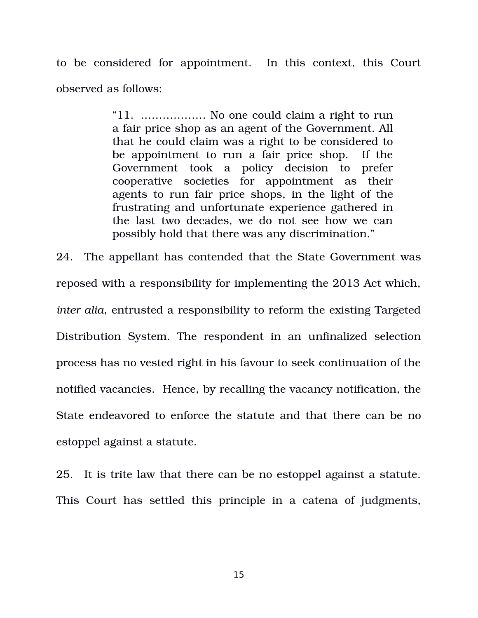to be considered for appointment. In this context, this Court observed as follows:

> "11. ……………… No one could claim a right to run a fair price shop as an agent of the Government. All that he could claim was a right to be considered to be appointment to run a fair price shop. If the Government took a policy decision to prefer cooperative societies for appointment as their agents to run fair price shops, in the light of the frustrating and unfortunate experience gathered in the last two decades, we do not see how we can possibly hold that there was any discrimination."

24. The appellant has contended that the State Government was reposed with a responsibility for implementing the 2013 Act which, *inter alia*, entrusted a responsibility to reform the existing Targeted Distribution System. The respondent in an unfinalized selection process has no vested right in his favour to seek continuation of the notified vacancies. Hence, by recalling the vacancy notification, the State endeavored to enforce the statute and that there can be no estoppel against a statute.

25. It is trite law that there can be no estoppel against a statute. This Court has settled this principle in a catena of judgments,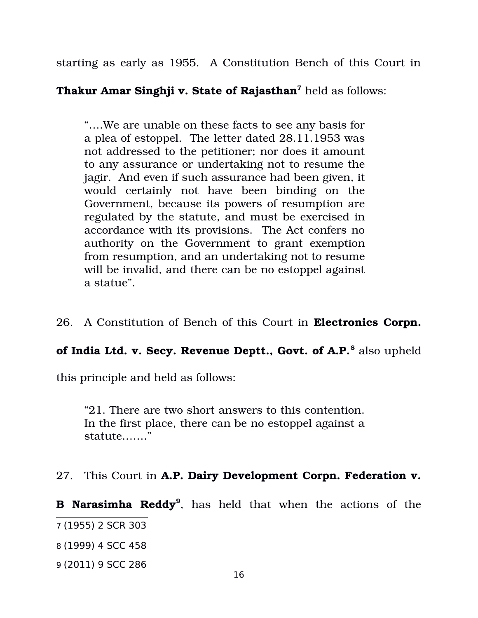starting as early as 1955. A Constitution Bench of this Court in

## **Thakur Amar Singhji v. State of Rajasthan<sup>7</sup>** held as follows:

"….We are unable on these facts to see any basis for a plea of estoppel. The letter dated 28.11.1953 was not addressed to the petitioner; nor does it amount to any assurance or undertaking not to resume the jagir. And even if such assurance had been given, it would certainly not have been binding on the Government, because its powers of resumption are regulated by the statute, and must be exercised in accordance with its provisions. The Act confers no authority on the Government to grant exemption from resumption, and an undertaking not to resume will be invalid, and there can be no estoppel against a statue".

26. A Constitution of Bench of this Court in **Electronics Corpn.**

# **of India Ltd. v. Secy. Revenue Deptt., Govt. of A.P.<sup>8</sup> also upheld**

this principle and held as follows:

"21. There are two short answers to this contention. In the first place, there can be no estoppel against a statute……."

### 27. This Court in **A.P. Dairy Development Corpn. Federation v.**

**B Narasimha Reddy<sup>9</sup>** , has held that when the actions of the

9 (2011) 9 SCC 286

<sup>7</sup> (1955) 2 SCR 303

<sup>8</sup> (1999) 4 SCC 458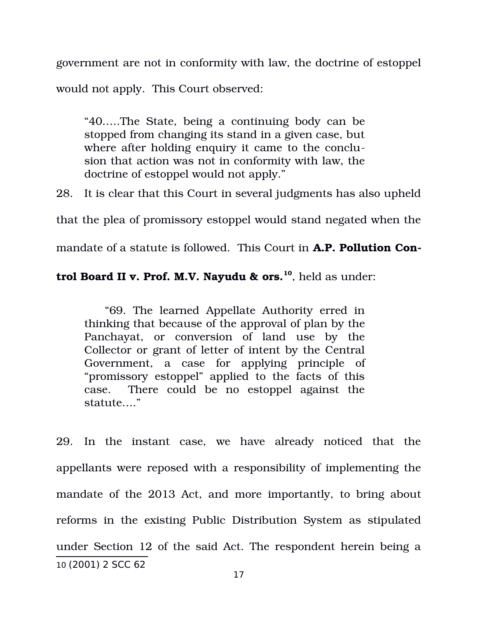government are not in conformity with law, the doctrine of estoppel would not apply. This Court observed:

"40.….The State, being a continuing body can be stopped from changing its stand in a given case, but where after holding enquiry it came to the conclusion that action was not in conformity with law, the doctrine of estoppel would not apply."

28. It is clear that this Court in several judgments has also upheld

that the plea of promissory estoppel would stand negated when the

mandate of a statute is followed. This Court in **A.P. Pollution Con-**

### **trol Board II v. Prof. M.V. Nayudu & ors.<sup>10</sup>**, held as under:

 "69. The learned Appellate Authority erred in thinking that because of the approval of plan by the Panchayat, or conversion of land use by the Collector or grant of letter of intent by the Central Government, a case for applying principle of "promissory estoppel" applied to the facts of this case. There could be no estoppel against the statute…."

29. In the instant case, we have already noticed that the appellants were reposed with a responsibility of implementing the mandate of the 2013 Act, and more importantly, to bring about reforms in the existing Public Distribution System as stipulated under Section 12 of the said Act. The respondent herein being a 10 (2001) 2 SCC 62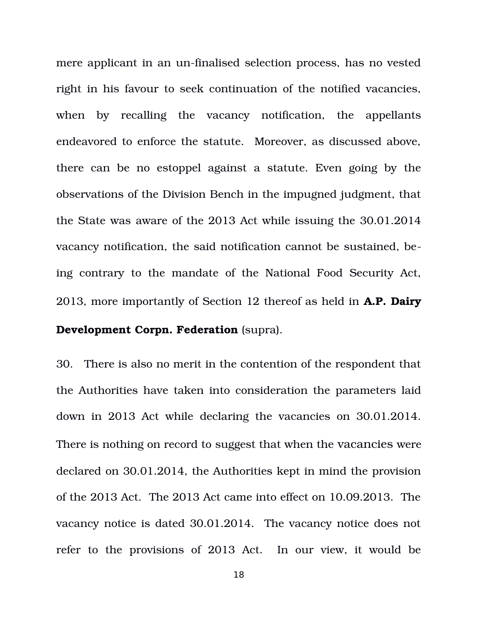mere applicant in an un-finalised selection process, has no vested right in his favour to seek continuation of the notified vacancies, when by recalling the vacancy notification, the appellants endeavored to enforce the statute. Moreover, as discussed above, there can be no estoppel against a statute. Even going by the observations of the Division Bench in the impugned judgment, that the State was aware of the 2013 Act while issuing the 30.01.2014 vacancy notification, the said notification cannot be sustained, being contrary to the mandate of the National Food Security Act, 2013, more importantly of Section 12 thereof as held in **A.P. Dairy Development Corpn. Federation** (supra).

30. There is also no merit in the contention of the respondent that the Authorities have taken into consideration the parameters laid down in 2013 Act while declaring the vacancies on 30.01.2014. There is nothing on record to suggest that when the vacancies were declared on 30.01.2014, the Authorities kept in mind the provision of the 2013 Act. The 2013 Act came into effect on 10.09.2013. The vacancy notice is dated 30.01.2014. The vacancy notice does not refer to the provisions of 2013 Act. In our view, it would be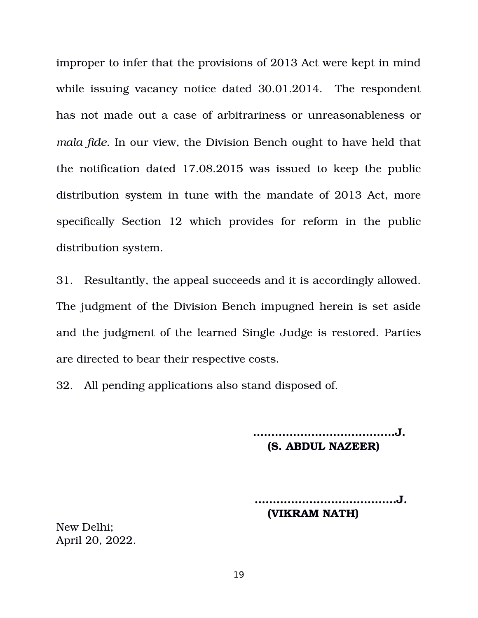improper to infer that the provisions of 2013 Act were kept in mind while issuing vacancy notice dated 30.01.2014. The respondent has not made out a case of arbitrariness or unreasonableness or *mala fide*. In our view, the Division Bench ought to have held that the notification dated 17.08.2015 was issued to keep the public distribution system in tune with the mandate of 2013 Act, more specifically Section 12 which provides for reform in the public distribution system.

31. Resultantly, the appeal succeeds and it is accordingly allowed. The judgment of the Division Bench impugned herein is set aside and the judgment of the learned Single Judge is restored. Parties are directed to bear their respective costs.

32. All pending applications also stand disposed of.

**…………………………………J. (S. ABDUL NAZEER)**

 **…………………………………J. (VIKRAM NATH)**

New Delhi; April 20, 2022.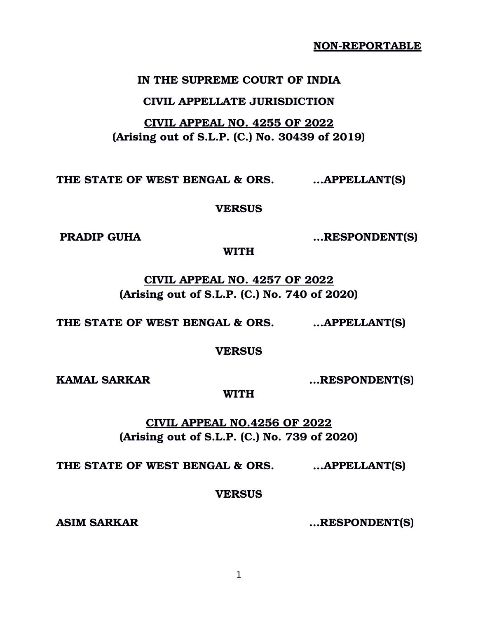**IN THE SUPREME COURT OF INDIA**

**NON-REPORTABLE** 

#### **CIVIL APPELLATE JURISDICTION**

## **CIVIL APPEAL NO. 4255 OF 2022 (Arising out of S.L.P. (C.) No. 30439 of 2019)**

**THE STATE OF WEST BENGAL & ORS. …APPELLANT(S)** 

**VERSUS**

**PRADIP GUHA …RESPONDENT(S)**

**WITH**

**CIVIL APPEAL NO. 4257 OF 2022 (Arising out of S.L.P. (C.) No. 740 of 2020)**

**THE STATE OF WEST BENGAL & ORS. …APPELLANT(S)** 

**VERSUS**

**KAMAL SARKAR …RESPONDENT(S)**

**WITH**

**CIVIL APPEAL NO.4256 OF 2022 (Arising out of S.L.P. (C.) No. 739 of 2020)**

**THE STATE OF WEST BENGAL & ORS. …APPELLANT(S)** 

### **VERSUS**

**ASIM SARKAR …RESPONDENT(S)**